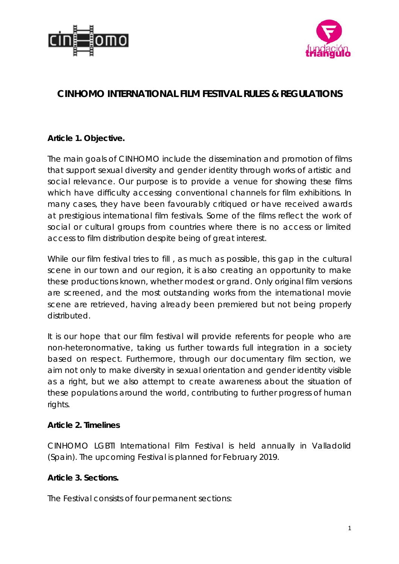



# **CINHOMO INTERNATIONAL FILM FESTIVAL RULES & REGULATIONS**

### **Article 1. Objective.**

The main goals of CINHOMO include the dissemination and promotion of films that support sexual diversity and gender identity through works of artistic and social relevance. Our purpose is to provide a venue for showing these films which have difficulty accessing conventional channels for film exhibitions. In many cases, they have been favourably critiqued or have received awards at prestigious international film festivals. Some of the films reflect the work of social or cultural groups from countries where there is no access or limited access to film distribution despite being of great interest.

While our film festival tries to fill, as much as possible, this gap in the cultural scene in our town and our region, it is also creating an opportunity to make these productions known, whether modest or grand. Only original film versions are screened, and the most outstanding works from the international movie scene are retrieved, having already been premiered but not being properly distributed.

It is our hope that our film festival will provide referents for people who are non-heteronormative, taking us further towards full integration in a society based on respect. Furthermore, through our documentary film section, we aim not only to make diversity in sexual orientation and gender identity visible as a right, but we also attempt to create awareness about the situation of these populations around the world, contributing to further progress of human rights.

#### **Article 2. Timelines**

CINHOMO LGBTI International Film Festival is held annually in Valladolid (Spain). The upcoming Festival is planned for February 2019.

### **Article 3. Sections.**

The Festival consists of four permanent sections: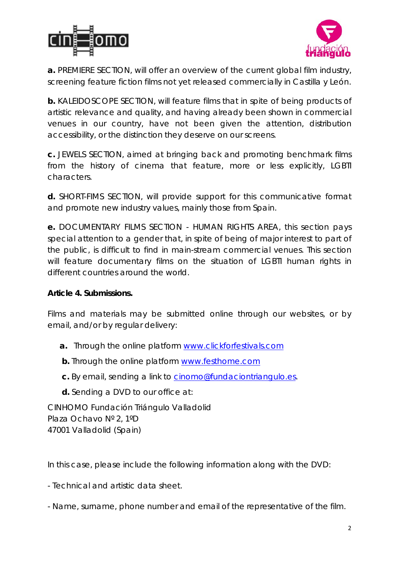



**a.** PREMIERE SECTION, will offer an overview of the current global film industry, screening feature fiction films not yet released commercially in Castilla y León.

**b.** KALEIDOSCOPE SECTION, will feature films that in spite of being products of artistic relevance and quality, and having already been shown in commercial venues in our country, have not been given the attention, distribution accessibility, or the distinction they deserve on our screens.

**c.** JEWELS SECTION, aimed at bringing back and promoting benchmark films from the history of cinema that feature, more or less explicitly, LGBTI characters.

**d.** SHORT-FIMS SECTION, will provide support for this communicative format and promote new industry values, mainly those from Spain.

**e.** DOCUMENTARY FILMS SECTION - HUMAN RIGHTS AREA, this section pays special attention to a gender that, in spite of being of major interest to part of the public, is difficult to find in main-stream commercial venues. This section will feature documentary films on the situation of LGBTI human rights in different countries around the world.

### **Article 4. Submissions.**

Films and materials may be submitted online through our websites, or by email, and/or by regular delivery:

- **a.** Through the online platform www.clickforfestivals.com
- **b.** Through the online platform [www.festhome.com](http://www.festhome.com/)
- **c.** By email, sending a link to [cinomo@fundaciontriangulo.es.](mailto:cinomo@fundaciontriangulo.es)
- **d.** Sending a DVD to our office at:

CINHOMO Fundación Triángulo Valladolid Plaza Ochavo Nº 2, 1ºD 47001 Valladolid (Spain)

In this case, please include the following information along with the DVD:

- Technical and artistic data sheet.

- Name, surname, phone number and email of the representative of the film.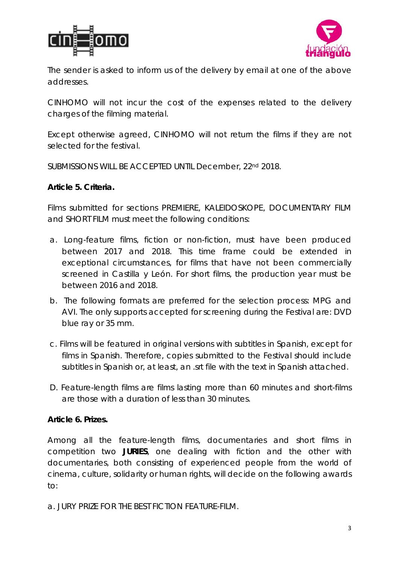



The sender is asked to inform us of the delivery by email at one of the above addresses.

CINHOMO will not incur the cost of the expenses related to the delivery charges of the filming material.

Except otherwise agreed, CINHOMO will not return the films if they are not selected for the festival.

SUBMISSIONS WILL BE ACCEPTED UNTIL December, 22nd 2018.

### **Article 5. Criteria.**

Films submitted for sections PREMIERE, KALEIDOSKOPE, DOCUMENTARY FILM and SHORT FILM must meet the following conditions:

- a. Long-feature films, fiction or non-fiction, must have been produced between 2017 and 2018. This time frame could be extended in exceptional circumstances, for films that have not been commercially screened in Castilla y León. For short films, the production year must be between 2016 and 2018.
- b. The following formats are preferred for the selection process: MPG and AVI. The only supports accepted for screening during the Festival are: DVD blue ray or 35 mm.
- c. Films will be featured in original versions with subtitles in Spanish, except for films in Spanish. Therefore, copies submitted to the Festival should include subtitles in Spanish or, at least, an .srt file with the text in Spanish attached.
- D. Feature-length films are films lasting more than 60 minutes and short-films are those with a duration of less than 30 minutes.

### **Article 6. Prizes.**

Among all the feature-length films, documentaries and short films in competition two **JURIES**, one dealing with fiction and the other with documentaries, both consisting of experienced people from the world of cinema, culture, solidarity or human rights, will decide on the following awards to:

a. JURY PRIZE FOR THE BEST FICTION FEATURE-FILM.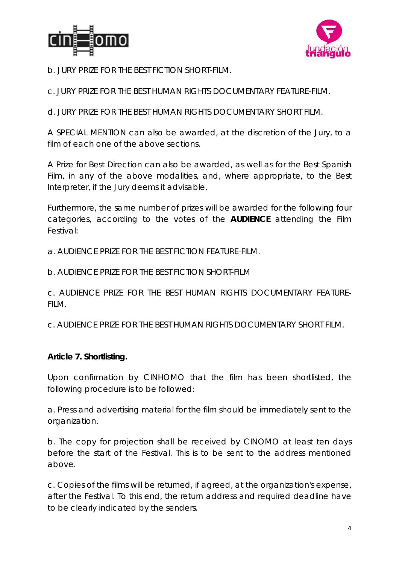



b. JURY PRIZE FOR THE BEST FICTION SHORT-FILM.

c. JURY PRIZE FOR THE BEST HUMAN RIGHTS DOCUMENTARY FEATURE-FILM.

d. JURY PRIZE FOR THE BEST HUMAN RIGHTS DOCUMENTARY SHORT FILM.

A SPECIAL MENTION can also be awarded, at the discretion of the Jury, to a film of each one of the above sections.

A Prize for Best Direction can also be awarded, as well as for the Best Spanish Film, in any of the above modalities, and, where appropriate, to the Best Interpreter, if the Jury deems it advisable.

Furthermore, the same number of prizes will be awarded for the following four categories, according to the votes of the **AUDIENCE** attending the Film Festival:

a. AUDIENCE PRIZE FOR THE BEST FICTION FEATURE-FILM.

b. AUDIENCE PRIZE FOR THE BEST FICTION SHORT-FILM

c. AUDIENCE PRIZE FOR THE BEST HUMAN RIGHTS DOCUMENTARY FEATURE-FILM.

c. AUDIENCE PRIZE FOR THE BEST HUMAN RIGHTS DOCUMENTARY SHORT FILM.

### **Article 7. Shortlisting.**

Upon confirmation by CINHOMO that the film has been shortlisted, the following procedure is to be followed:

a. Press and advertising material for the film should be immediately sent to the organization.

b. The copy for projection shall be received by CINOMO at least ten days before the start of the Festival. This is to be sent to the address mentioned above.

c. Copies of the films will be returned, if agreed, at the organization's expense, after the Festival. To this end, the return address and required deadline have to be clearly indicated by the senders.